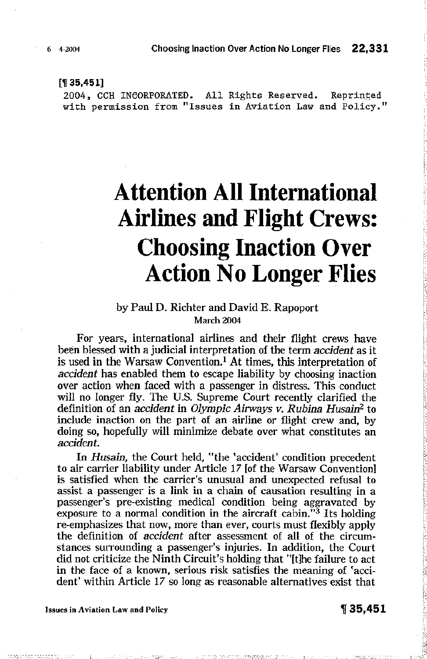#### [~ **35,451]**

2004, CCH INCORPORATED. All Rights Reserved. Reprinted **with permission from "Issues in Aviation Law and Policy."**

# **Attention All International Airlines and Flight Crews: Choosing Inaction Over Action No Longer Flies**

# by Paul D. Richter and David E. Rapoport March 2004

For years, international airlines and their flight crews have been blessed with a judicial interpretation of the term *accident* as it is used in the Warsaw Convention.' At times, this interpretation of *accident* has enabled them to escape liability by choosing inaction over action when faced with a passenger in distress. This conduct will no longer fly. The U.S. Supreme Court recently clarified the definition of an *accident* in *Olympic Airways v. Rubina Husain*<sup>2</sup> to include inaction on the part of an airline or flight crew and, by doing so, hopefully will minimize debate over what constitutes an *accident.*

**In** *Husain,* the Court held. "the 'accident' condition precedent to air carrier liability under Article 17 [of the Warsaw Convention] is satisfied when the carrier's unusual and unexpected refusal to assist a passenger is a link in a chain of causation resulting in a passenger's pre-existing medical condition being aggravated by exposure to a normal condition in the aircraft cabin. "3 Its holding re-emphasizes that now, more than ever, courts must flexibly apply the definition of *accident* after assessment of all of the circumstances surrounding a passenger's injuries. **In** addition, the Court did not criticize the Ninth Circuit's holding that "[t]he failure to act in the face of a known. serious risk satisfies the meaning of 'accident' within Article 17 so long as reasonable alternatives exist that

**Issues** in Aviation Law and Policy  $\blacksquare$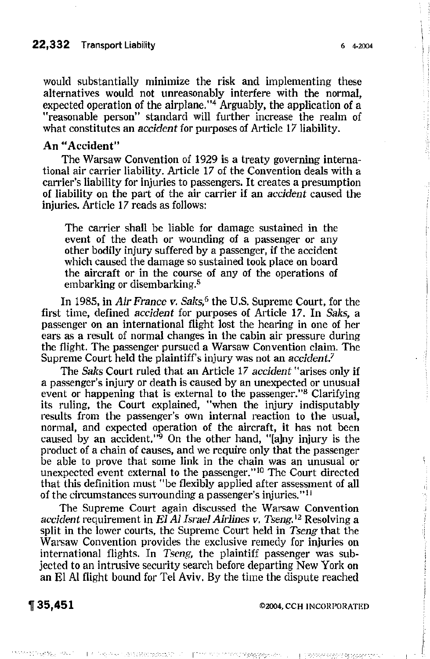would substantially minimize the risk and implementing these alternatives would not unreasonably interfere with the normal, expected operation of the airplane."4 Arguably, the application of a "reasonable person" standard will further increase the realm of what constitutes an *accident* for purposes of Article 17 liability.

## **An <sup>U</sup> Accident"**

The Warsaw Convention of 1929 is a treaty governing international air carrier liability. Article 17 of the Convention deals with a carrier's liability for injuries to passengers. It creates a presumption of liability on the part of the air carrier if an *accident* caused the injuries. Article 17 reads as follows:

The carrier shall be liable for damage sustained in the event of the death or wounding of a passenger or any other bodily injury suffered by a passenger, if the accident which caused the damage so sustained took place on board the aircraft or in the course of any of the operations of embarking or disembarking.<sup>5</sup>

In 1985, in *Air France v. Saks*,<sup>6</sup> the U.S. Supreme Court, for the first time, defined *accident* for purposes of Article 17. In *Saks,* a passenger on an international flight lost the hearing in one of her ears as a result of normal changes in the cabin air pressure during the flight. The passenger pursued a Warsaw Convention claim. The Supreme Court held the plaintiff's injury was not an *accident.'*

The *Saks* Court ruled that an Article 17 *accident* "arises only if a passenger's injury or death is caused by an unexpected or unusual event or happening that is external to the passenger."<sup>8</sup> Clarifying its ruling, the Court explained, "when the injury indisputably results from the passenger's own internal reaction to the usual, normal, and expected operation of the aircraft, it has not been caused by an accident."<sup>9</sup> On the other hand, "[a]ny injury is the product of a chain of causes, and we require only that the passenger be able to prove that some link in the chain was an unusual or unexpected event external to the passenger."<sup>10</sup> The Court directed that this definition must "be flexibly applied after assessment of all of the circumstances surrounding a passenger's injuries."!'

The Supreme Court again discussed the Warsaw Convention *accident* requirement *in* EI *Al Israel Airlines v. Tseng.'2* Resolving a split in the lower courts, the Supreme Court held in *Tseng* that the Warsaw Convention provides the exclusive remedy for injuries on international flights. In *Tseng,* the plaintiff passenger was subjected to an intrusive security search before departing New York on an El Al flight bound for Tel Aviv. By the time the dispute reached

 $\mathbb{P}^{(2n+1)}$  spokes of JAS VV Mediaghs (KST

**35,451 ©2004.CCH INCORPORATED**

ń  $\frac{1}{2}$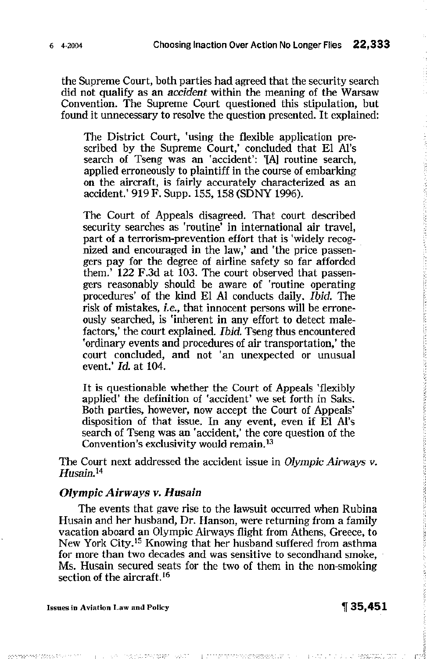the Supreme Court, both parties had agreed that the security search did not qualify as an *accident* within the meaning of the Warsaw Convention. The Supreme Court questioned this stipulation, but found it unnecessary to resolve the question presented. It explained:

The District Court, 'using the flexible application prescribed by the Supreme Court,' concluded that El Al's search of Tseng was an 'accident': '[A] routine search, applied erroneously to plaintiff in the course of embarking on the aircraft, is fairly accurately characterized as an accident.' 919 F. Supp, 155, 158 (SDNY 1996).

The Court of Appeals disagreed. That court described security searches as 'routine' in international air travel, part of a terrorism-prevention effort that is 'widely recognized and encouraged in the law,' and 'the price passengers pay for the degree of airline safety so far afforded them.' 122 F.3d at 103. The court observed that passengers reasonably should be aware of 'routine operating procedures' of the kind E1 Al conducts daily. *Ibid.* The risk of mistakes, *i.e.,* that innocent persons will be erroneously searched, is 'inherent in any effort to detect malefactors,' the court explained. *Ibid.* Tseng thus encountered 'ordinary events and procedures of air transportation,' the court concluded, and not 'an unexpected or unusual event.' *Id.* at 104.

It is questionable whether the Court of Appeals 'flexibly applied' the definition of 'accident' we set forth in Saks. Both parties, however, now accept the Court of Appeals' disposition of that issue. In any event, even if EI AI's search of Tseng was an 'accident,' the core question of the **Convention's exclusivity would** remain. <sup>13</sup>

The Court next addressed the accident issue in Olympic Airways v. *Husain.*<sup>14</sup>

## *Olympic Airways v. Husain*

The events that gave rise to the lawsuit occurred when Rubina Husain and her husband, Dr. Hanson, were returning from a family vacation aboard an Olympic Airways flight from Athens, Greece, to New York City. IS Knowing that her husband suffered from asthma for more than two decades and was sensitive to secondhand smoke, Ms. Husain secured seats for the two of them in the non-smoking section of the aircraft.<sup>16</sup>

**Issues** in Aviation Law and Policy 16 and  $\frac{1}{2}$  **175,451**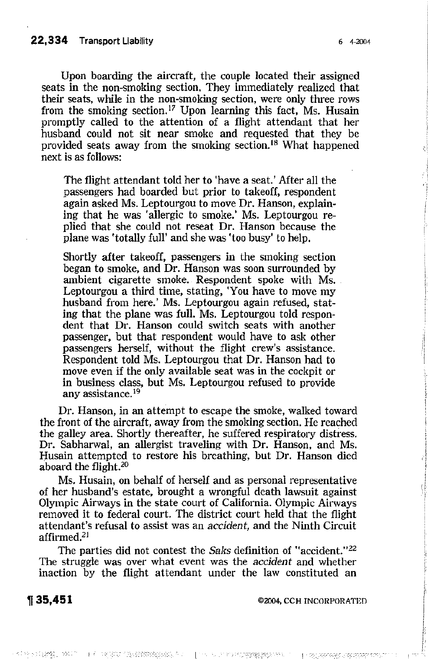Upon boarding the aircraft, the couple located their assigned seats in the non-smoking section. They immediately realized that their seats, while in the non-smoking section, were only three rows from the smoking section.<sup>17</sup> Upon learning this fact, Ms. Husain promptly called to the attention of a flight attendant that her husband could not sit near smoke and requested that they be provided seats away from the smoking section.<sup>18</sup> What happened next is as follows:

The flight attendant told her to 'have a seat.' After all the passengers had boarded but prior to takeoff, respondent again asked Ms. Leptourgou to move Dr. Hanson, explaining that he was 'allergic to smoke.' Ms. Leptourgou replied that she could not reseat Dr. Hanson because the plane was 'totally full' and she was 'too busy' to help.

Shortly after takeoff, passengers in the smoking section began to smoke, and Dr. Hanson was soon surrounded by ambient cigarette smoke. Respondent spoke with Ms. Leptourgou a third time, stating, 'You have to move my husband from here.' Ms. Leptourgou again refused, stating that the plane was full. Ms. Leptourgou told respondent that Dr. Hanson could switch seats with another passenger, but that respondent would have to ask other passengers herself, without the flight crew's assistance. Respondent told Ms. Leptourgou that Dr. Hanson had to move even if the only available seat was in the cockpit or in business class, but Ms. Leptourgou refused to provide **any** assistance. <sup>19</sup>

Dr. Hanson, in an attempt to escape the smoke, walked toward the front of the aircraft, away from the smoking section. He reached the galley area. Shortly thereafter, he suffered respiratory distress. Dr. Sabharwal, an allergist traveling with Dr. Hanson, and Ms. Husain attempted to restore his breathing, but Dr. Hanson died aboard the flight. 2o

Ms. Husain, on behalf of herself and as personal representative of her husband's estate, brought a wrongful death lawsuit against Olympic Airways in the state court of California. Olympic Airways removed it to federal court. The district court held that the flight attendant's refusal to assist was an *accident,* and the Ninth Circuit affirmed.<sup>21</sup>

The parties did not contest the *Saks* definition of "accident."<sup>22</sup> The struggle was over what event was the *accident* and whether inaction by the flight attendant under the law constituted an

**16 35.451 C2004, <b>CCH INCORPORATED** 

ŧ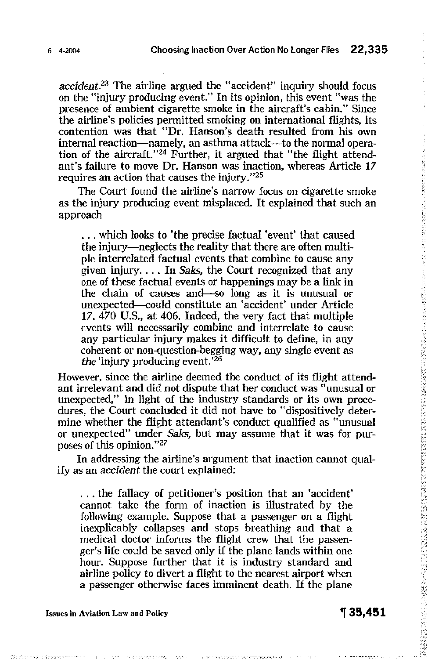*accident.23* The airline argued the "accident" inquiry should focus on the "injury producing event." In its opinion, this event "was the presence of ambient cigarette smoke in the aircraft's cabin." Since the airline's policies permitted smoking on international flights, its contention was that "Dr. Hanson's death resulted from his own internal reaction-namely, an asthma attack-to the normal operation of the aircraft."<sup>24</sup> Further, it argued that "the flight attendant's failure to move Dr. Hanson was inaction, whereas Article 17 requires an action that causes the injury."2s

The Court found the airline's narrow focus on cigarette smoke as the injury producing event misplaced. It explained that such an approach

... which looks to 'the precise factual 'event' that caused the injury-neglects the reality that there are often multiple interrelated factual events that combine to cause any given injury.... In *Saks,* the Court recognized that any one of these factual events or happenings may be a link in the chain of causes and so long as it is unusual or unexpected-could constitute an 'accident' under Article 17. 470 U.S., at 406. Indeed, the very fact that multiple events will necessarily combine and interrelate to cause any particular injury makes it difficult to define, in any coherent or non-question-begging way, any single event as *the* 'injury producing event.'26

However, since the airline deemed the conduct of its flight attendant irrelevant and did not dispute that her conduct was "unusual or unexpected," in light of the industry standards or its own procedures, the Court concluded it did not have to "dispositively determine whether the flight attendant's conduct qualified as "unusual or unexpected" under *Saks,* but may assume that it was for pur**poses of this opinion.** "27

In addressing the airline's argument that inaction cannot qualify as an *accident* the court explained:

... the fallacy of petitioner's position that an 'accident' cannot take the form of inaction is illustrated by the following example. Suppose that a passenger on a flight inexplicably collapses and stops breathing and that a medical doctor informs the flight crew that the passenger's life could be saved only if the plane lands within one hour. Suppose further that it is industry standard and airline policy to divert a flight to the nearest airport when a passenger otherwise faces imminent death. If the plane

**Issues in Aviation Law and Policy 35,451**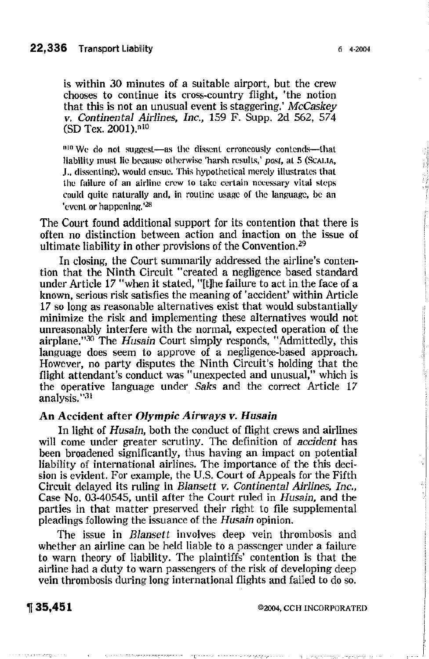is within 30 minutes of a suitable airport, but the crew chooses to continue its cross-country flight, 'the notion that this is not an unusual event is staggering.' *McCaskey v. Continental Airlines, Inc.,* 159 F. Supp, 2d 562, 574  $(SD$  Tex. 2001).<sup>n10</sup>

n<sup>10</sup> We do not suggest-as the dissent erroneously contends-that **liability must lie because otherwise 'harshresults.'** *post.* **at 5 (SCALIA, .I.. dissenting), would ensue. This hypothetical merely illustrates that the failure of an airline crew to take certain necessary vital steps could quite naturally and. in routine** usage **of the** language, **be an .eventor**happening. **t2K**

The Court found additional support for its contention that there is often no distinction between action and inaction on the issue of ultimate liability in other provisions of the Convention. $29$ 

In closing, the Court summarily addressed the airline's contention that the Ninth Circuit "created a negligence based standard under Article 17 "when it stated, "[t]he failure to act in the face of a known, serious risk satisfies the meaning of 'accident' within Article 17 so long as reasonable alternatives exist that would substantially minimize the risk and implementing these alternatives would not unreasonably interfere with the normal, expected operation of the airplane."<sup>30</sup> The *Husain* Court simply responds, "Admittedly, this language does seem to approve of a negligence-based approach. However, no party disputes the Ninth Circuit's holding that the flight attendant's conduct was "unexpected and unusual," which is the operative language under *Saks* and the correct Article 17 analysis."<sup>31</sup>

### An Accident after *Olympic Airways v. Husain*

In light of *Husain,* both the conduct of flight crews and airlines will come under greater scrutiny. The definition of *accident* has been broadened significantly, thus having an impact on potential liability of international airlines. The importance of the this decision is evident. For example, the U.S. Court of Appeals for the Fifth Circuit delayed its ruling in *Blansett v. Continental Airlines, Inc.,* Case No. 03-40545, until after the Court ruled in *Husain,* and the parties in that matter preserved their right to file supplemental pleadings following the issuance of the *Husain* opinion.

The issue in *Blansett* involves deep vein thrombosis and whether an airline can be held liable to a passenger under a failure to warn theory of liability. *The* plaintiffs' contention is that the airline had a duty to warn passengers of the risk of developing deep vein thrombosis during long international flights and failed to do so.

## **35,451 ©2004, CCH INCORPORATED**

**The Community of the Community of the Community** 

ś,

H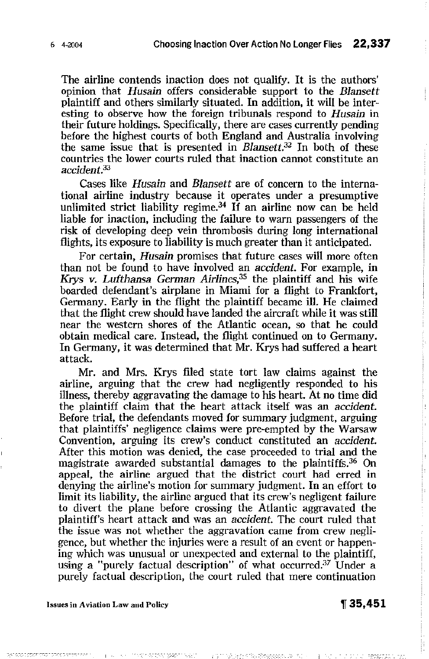The airline contends inaction does not qualify. It is the authors' opinion that *Husain* offers considerable support to the *Blansett* plaintiff and others similarly situated. **In** addition, it will be interesting to observe how the foreign tribunals respond to *Husain* in their future holdings. Specifically, there are cases currently pending before the highest courts of both England and Australia involving the same issue that is presented in *Blansett.* <sup>32</sup> **In** both of these countries the lower courts ruled that inaction cannot constitute an accident.<sup>33</sup>

Cases like *Husain* and *Blansett* are of concern to the international airline industry because it operates under a presumptive unlimited strict liability regime.<sup>34</sup> If an airline now can be held liable for inaction, including the failure to warn passengers of the risk of developing deep vein thrombosis during long international flights, its exposure to liability is much greater than it anticipated.

For certain, *Husain* promises that future cases will more often than not be found to have involved an *accident.* For example, in Krys v; *Lufthansa Gennan Airlines,3s* the plaintiff and his wife boarded defendant's airplane in Miami for a flight to Frankfort, Germany. Early in the flight the plaintiff became ill. He claimed that the flight crew should have landed the aircraft while it was still near the western shores of the Atlantic ocean, so that he could obtain medical care. Instead, the flight continued on to Germany. **In** Germany, it was determined that Mr. Krys had suffered a heart attack.

Mr. and Mrs. Krys filed state tort law claims against the airline, arguing that the crew had negligently responded to his illness, thereby aggravating the damage to his heart. At no time did the plaintiff claim that the heart attack itself was an accident. Before trial, the defendants moved for summary judgment, arguing that plaintiffs' negligence claims were pre-empted by the Warsaw Convention, arguing its crew's conduct constituted an accident. After this motion was denied, the case proceeded to trial and the magistrate awarded substantial damages to the plaintiffs.<sup>36</sup> On appeal, the airline argued that the district court had erred in denying the airline's motion for summary judgment. **In** an effort to limit its liability, the airline argued that its crew's negligent failure to divert the plane before crossing the Atlantic aggravated the plaintiff's heart attack and was an accident. The court ruled that the issue was not whether the aggravation came from crew negligence, but whether the injuries were a result of an event or happening which was unusual or unexpected and external to the plaintiff, using a "purely factual description" of what occurred.<sup>37</sup> Under a purely factual description, the court ruled that mere continuation

**Issues** in Aviation Law and Policy  $\blacksquare$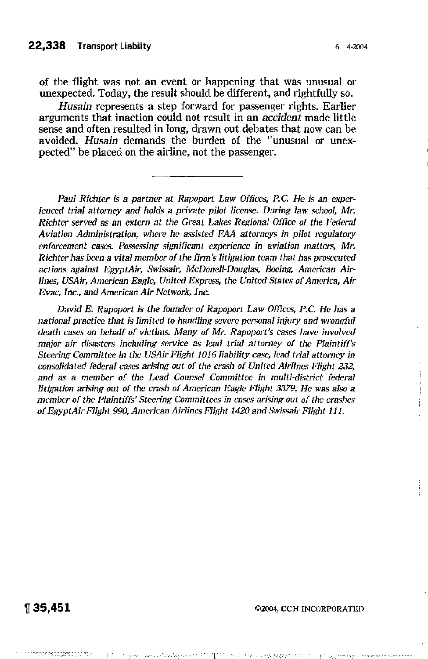of the flight was not an event or happening that was unusual or unexpected. Today, the result should be different, and rightfully so.

*Husain* represents a step forward for passenger rights. Earlier arguments that inaction could not result in an *accident* made little sense and often resulted in long, drawn out debates that now can be avoided. *Husain* demands the burden of the "unusual or unexpected" be placed on the airline, not the passenger.

Paul Richter is a partner at Rapoport Law Offices, P.C. He is an exper*ienced trial attorney and holds* a *private pilot license. During law school, Mr. Richter served* as an *extern at the Great Lakes Regional Office of the Federal Aviation Administration, where he assisted FAA attorneys in pilot regulatory enforcement cases. Possessing significant experience in aviation matters, Mr. Richterhas beena vital membero! the* finn's *litigation team that hasprosecuted*  $a$ ctions against *EgyptAir, Swissair, McDonell-Douglas, Boeing, American Airlines, USAir, American Eagle, United Express, the United States of America, Air Evae, Inc.• and American Air Network, Inc.*

*David* E. *Rapoport is the founder* of *Rapoport Law Offices, P.e. He has* a *national practice that is limited to handling severe personal injury and wrongful death cases on behalf* of *victims. Many* of *Mr. Rapoport* '5 *cases have involved major air disasters including service as lead trial attorney of the Plaintiff's Steering Committee in the USAir'Flight 1016liabiJily* case, *Ii'ad trial attorney in consolidated federal cases arising out* of *the crash of United Airlines Flight 2..12, and* as a *member* of *the Lced Counsel Committee in multi-district federal litigation arising out* of *the crash* of *American Eagle Flight* 3379. *He* was *also* a *member* of *the Plaintiff..,'Steering Commtuees in cases arising out of the crashes ofEgyptAir Flight. 990, American Airlines Flight 1420 and SwissairFlight 111.*

## $\eta$  35.451  $_{\odot}$  35.451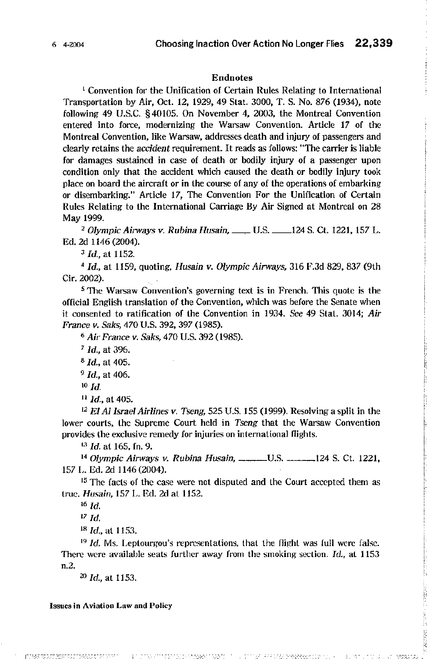#### Endnotes

<sup>1</sup> Convention for the Unification of Certain Rules Relating to International Transportation by Air, Oct. 12, 1929,49 Slat. 3000, T. 5, No. 876 (1934), note following 49 U.S.c. § 40105. On November 4, 2003, the Montreal Convention entered into force, modernizing the Warsaw Convention. Article 17 of the Montreal Convention, like Warsaw, addresses death and injury of passengers and clearly retains the *accident* requirement. It reads as follows: "The carrier is liable for damages sustained in case of death or bodily injury of a passenger upon condition only that the accident which caused the death or bodily injury took place on board the aircraft or in the course of any of the operations of embarking or disembarking." Article 17, The Convention For the Unification of Certain Rules Relating to the International Carriage By Air Signed at Montreal on 28 May 1999.

*<sup>2</sup> Olympic Ainvays v. Rubina Husain,* \_\_. U.S. \_\_124 S. Ct. 1221, 157 L. FA.2d 1146 (2004).

<sup>J</sup> *ld.,* at 1152.

*, ld.,* at 1159, quoting, Husain *v. Olympic Airways,* 316 F.3d 829, 837 (9th Cir.2002).

5 The Warsaw Convention's governing text is in French. This quote is the official English translation of the Convention, which was before the Senate when it consented to ratification of the Convention in 1934. *See* 49 StaL. 3014; *Air France v. Saks,* 470 U.S. 392, 397 (1985).

*<sup>6</sup> Air*France *v. Saks,* 470 U.S. 392 (1985).

*<sup>7</sup> ld.,* at 396.

*• ld.,* at 405.

*<sup>9</sup> ld.,* at 406.

<sup>10</sup> *Id.*

II *Id.,* at 405.

<sup>12</sup> *El A/Israel Airlines v. Tseng,* 525 U.S. 155 (1999). Resolving a split in the lower courts, the Supreme Court held in *Tseng* that the Warsaw Convention provides the exclusive remedy for injuries on international flights.

*!3Id.* at 165, In. 9.

*<sup>14</sup> Olympic Airways v. Rubina Husain,* \_\_-U.S. 124 S. Ct. 1221, 157 L. Ed. 2d 1146 (2004).

<sup>15</sup> The facts of the case were not disputed and the Court accepted them as true. *Husain,* 157 L. Ed. 2d at 1152.

*161d.*

*<sup>17</sup> [d.*

<sup>18</sup> *ld.,* al l153.

<sup>19</sup> *Id.* Ms. Leptourgou's representations, that the flight was full were false. There were available seats further away from the smoking section. *Id.*, at 1153 n.2.

*<sup>20</sup> ld.,* at 1153.

#### Issues in Aviation Law and Policy